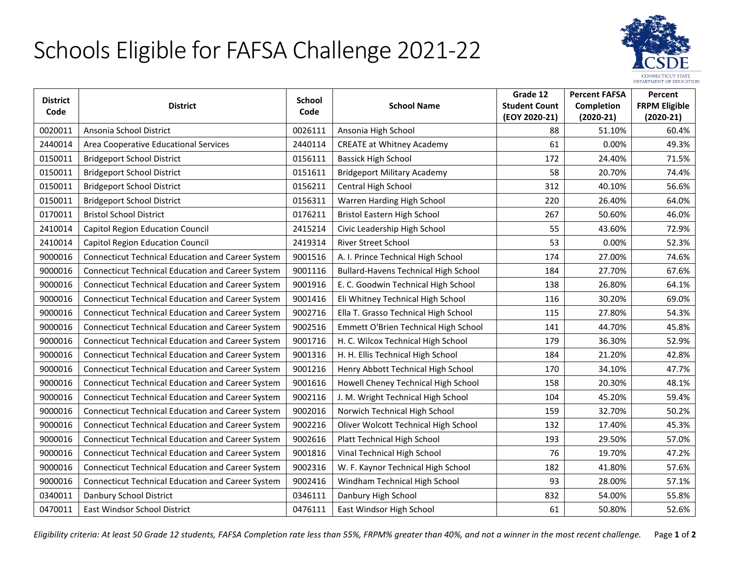## Schools Eligible for FAFSA Challenge 2021-22



| <b>District</b> |                                                          | <b>School</b> |                                             | Grade 12             | <b>Percent FAFSA</b> | Percent              |
|-----------------|----------------------------------------------------------|---------------|---------------------------------------------|----------------------|----------------------|----------------------|
| Code            | <b>District</b>                                          | Code          | <b>School Name</b>                          | <b>Student Count</b> | <b>Completion</b>    | <b>FRPM Eligible</b> |
|                 |                                                          |               |                                             | (EOY 2020-21)        | $(2020-21)$          | $(2020-21)$          |
| 0020011         | Ansonia School District                                  | 0026111       | Ansonia High School                         | 88                   | 51.10%               | 60.4%                |
| 2440014         | Area Cooperative Educational Services                    | 2440114       | <b>CREATE at Whitney Academy</b>            | 61                   | 0.00%                | 49.3%                |
| 0150011         | <b>Bridgeport School District</b>                        | 0156111       | <b>Bassick High School</b>                  | 172                  | 24.40%               | 71.5%                |
| 0150011         | <b>Bridgeport School District</b>                        | 0151611       | <b>Bridgeport Military Academy</b>          | 58                   | 20.70%               | 74.4%                |
| 0150011         | <b>Bridgeport School District</b>                        | 0156211       | Central High School                         | 312                  | 40.10%               | 56.6%                |
| 0150011         | <b>Bridgeport School District</b>                        | 0156311       | Warren Harding High School                  | 220                  | 26.40%               | 64.0%                |
| 0170011         | <b>Bristol School District</b>                           | 0176211       | Bristol Eastern High School                 | 267                  | 50.60%               | 46.0%                |
| 2410014         | Capitol Region Education Council                         | 2415214       | Civic Leadership High School                | 55                   | 43.60%               | 72.9%                |
| 2410014         | <b>Capitol Region Education Council</b>                  | 2419314       | River Street School                         | 53                   | 0.00%                | 52.3%                |
| 9000016         | <b>Connecticut Technical Education and Career System</b> | 9001516       | A. I. Prince Technical High School          | 174                  | 27.00%               | 74.6%                |
| 9000016         | <b>Connecticut Technical Education and Career System</b> | 9001116       | <b>Bullard-Havens Technical High School</b> | 184                  | 27.70%               | 67.6%                |
| 9000016         | <b>Connecticut Technical Education and Career System</b> | 9001916       | E. C. Goodwin Technical High School         | 138                  | 26.80%               | 64.1%                |
| 9000016         | <b>Connecticut Technical Education and Career System</b> | 9001416       | Eli Whitney Technical High School           | 116                  | 30.20%               | 69.0%                |
| 9000016         | <b>Connecticut Technical Education and Career System</b> | 9002716       | Ella T. Grasso Technical High School        | 115                  | 27.80%               | 54.3%                |
| 9000016         | <b>Connecticut Technical Education and Career System</b> | 9002516       | Emmett O'Brien Technical High School        | 141                  | 44.70%               | 45.8%                |
| 9000016         | <b>Connecticut Technical Education and Career System</b> | 9001716       | H. C. Wilcox Technical High School          | 179                  | 36.30%               | 52.9%                |
| 9000016         | <b>Connecticut Technical Education and Career System</b> | 9001316       | H. H. Ellis Technical High School           | 184                  | 21.20%               | 42.8%                |
| 9000016         | <b>Connecticut Technical Education and Career System</b> | 9001216       | Henry Abbott Technical High School          | 170                  | 34.10%               | 47.7%                |
| 9000016         | <b>Connecticut Technical Education and Career System</b> | 9001616       | Howell Cheney Technical High School         | 158                  | 20.30%               | 48.1%                |
| 9000016         | <b>Connecticut Technical Education and Career System</b> | 9002116       | J. M. Wright Technical High School          | 104                  | 45.20%               | 59.4%                |
| 9000016         | <b>Connecticut Technical Education and Career System</b> | 9002016       | Norwich Technical High School               | 159                  | 32.70%               | 50.2%                |
| 9000016         | <b>Connecticut Technical Education and Career System</b> | 9002216       | Oliver Wolcott Technical High School        | 132                  | 17.40%               | 45.3%                |
| 9000016         | <b>Connecticut Technical Education and Career System</b> | 9002616       | Platt Technical High School                 | 193                  | 29.50%               | 57.0%                |
| 9000016         | <b>Connecticut Technical Education and Career System</b> | 9001816       | Vinal Technical High School                 | 76                   | 19.70%               | 47.2%                |
| 9000016         | <b>Connecticut Technical Education and Career System</b> | 9002316       | W. F. Kaynor Technical High School          | 182                  | 41.80%               | 57.6%                |
| 9000016         | <b>Connecticut Technical Education and Career System</b> | 9002416       | Windham Technical High School               | 93                   | 28.00%               | 57.1%                |
| 0340011         | Danbury School District                                  | 0346111       | Danbury High School                         | 832                  | 54.00%               | 55.8%                |
| 0470011         | East Windsor School District                             | 0476111       | East Windsor High School                    | 61                   | 50.80%               | 52.6%                |

*Eligibility criteria: At least 50 Grade 12 students, FAFSA Completion rate less than 55%, FRPM% greater than 40%, and not a winner in the most recent challenge.* Page **1** of **2**